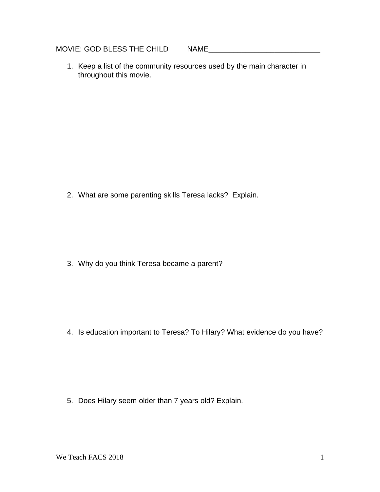MOVIE: GOD BLESS THE CHILD NAME

1. Keep a list of the community resources used by the main character in throughout this movie.

2. What are some parenting skills Teresa lacks? Explain.

3. Why do you think Teresa became a parent?

4. Is education important to Teresa? To Hilary? What evidence do you have?

5. Does Hilary seem older than 7 years old? Explain.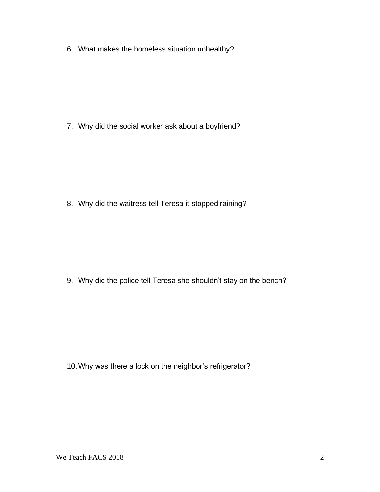6. What makes the homeless situation unhealthy?

7. Why did the social worker ask about a boyfriend?

8. Why did the waitress tell Teresa it stopped raining?

9. Why did the police tell Teresa she shouldn't stay on the bench?

10.Why was there a lock on the neighbor's refrigerator?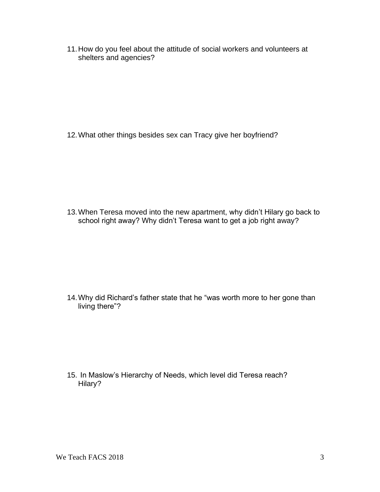11.How do you feel about the attitude of social workers and volunteers at shelters and agencies?

12.What other things besides sex can Tracy give her boyfriend?

13.When Teresa moved into the new apartment, why didn't Hilary go back to school right away? Why didn't Teresa want to get a job right away?

14.Why did Richard's father state that he "was worth more to her gone than living there"?

15. In Maslow's Hierarchy of Needs, which level did Teresa reach? Hilary?